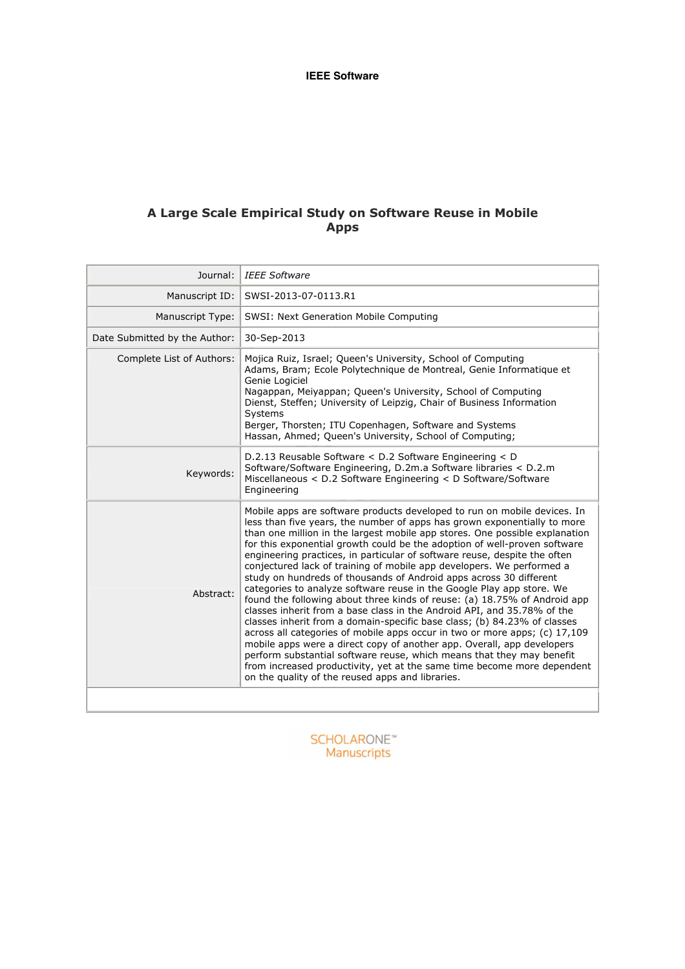## A Large Scale Empirical Study on Software Reuse in Mobile Apps

| Journal:                      | <b>IEEE Software</b>                                                                                                                                                                                                                                                                                                                                                                                                                                                                                                                                                                                                                                                                                                                                                                                                                                                                                                                                                                                                                                                                                                                                                                                                        |  |  |  |
|-------------------------------|-----------------------------------------------------------------------------------------------------------------------------------------------------------------------------------------------------------------------------------------------------------------------------------------------------------------------------------------------------------------------------------------------------------------------------------------------------------------------------------------------------------------------------------------------------------------------------------------------------------------------------------------------------------------------------------------------------------------------------------------------------------------------------------------------------------------------------------------------------------------------------------------------------------------------------------------------------------------------------------------------------------------------------------------------------------------------------------------------------------------------------------------------------------------------------------------------------------------------------|--|--|--|
| Manuscript ID:                | SWSI-2013-07-0113.R1                                                                                                                                                                                                                                                                                                                                                                                                                                                                                                                                                                                                                                                                                                                                                                                                                                                                                                                                                                                                                                                                                                                                                                                                        |  |  |  |
| Manuscript Type:              | <b>SWSI: Next Generation Mobile Computing</b>                                                                                                                                                                                                                                                                                                                                                                                                                                                                                                                                                                                                                                                                                                                                                                                                                                                                                                                                                                                                                                                                                                                                                                               |  |  |  |
| Date Submitted by the Author: | 30-Sep-2013                                                                                                                                                                                                                                                                                                                                                                                                                                                                                                                                                                                                                                                                                                                                                                                                                                                                                                                                                                                                                                                                                                                                                                                                                 |  |  |  |
| Complete List of Authors:     | Mojica Ruiz, Israel; Queen's University, School of Computing<br>Adams, Bram; Ecole Polytechnique de Montreal, Genie Informatique et<br>Genie Logiciel<br>Nagappan, Meiyappan; Queen's University, School of Computing<br>Dienst, Steffen; University of Leipzig, Chair of Business Information<br>Systems<br>Berger, Thorsten; ITU Copenhagen, Software and Systems<br>Hassan, Ahmed; Queen's University, School of Computing;                                                                                                                                                                                                                                                                                                                                                                                                                                                                                                                                                                                                                                                                                                                                                                                              |  |  |  |
| Keywords:                     | D.2.13 Reusable Software < D.2 Software Engineering < D<br>Software/Software Engineering, D.2m.a Software libraries < D.2.m<br>Miscellaneous < D.2 Software Engineering < D Software/Software<br>Engineering                                                                                                                                                                                                                                                                                                                                                                                                                                                                                                                                                                                                                                                                                                                                                                                                                                                                                                                                                                                                                |  |  |  |
| Abstract:                     | Mobile apps are software products developed to run on mobile devices. In<br>less than five years, the number of apps has grown exponentially to more<br>than one million in the largest mobile app stores. One possible explanation<br>for this exponential growth could be the adoption of well-proven software<br>engineering practices, in particular of software reuse, despite the often<br>conjectured lack of training of mobile app developers. We performed a<br>study on hundreds of thousands of Android apps across 30 different<br>categories to analyze software reuse in the Google Play app store. We<br>found the following about three kinds of reuse: (a) 18.75% of Android app<br>classes inherit from a base class in the Android API, and 35.78% of the<br>classes inherit from a domain-specific base class; (b) 84.23% of classes<br>across all categories of mobile apps occur in two or more apps; $(c)$ 17,109<br>mobile apps were a direct copy of another app. Overall, app developers<br>perform substantial software reuse, which means that they may benefit<br>from increased productivity, yet at the same time become more dependent<br>on the quality of the reused apps and libraries. |  |  |  |
|                               |                                                                                                                                                                                                                                                                                                                                                                                                                                                                                                                                                                                                                                                                                                                                                                                                                                                                                                                                                                                                                                                                                                                                                                                                                             |  |  |  |

SCHOLARONE<sup>®</sup><br>Manuscripts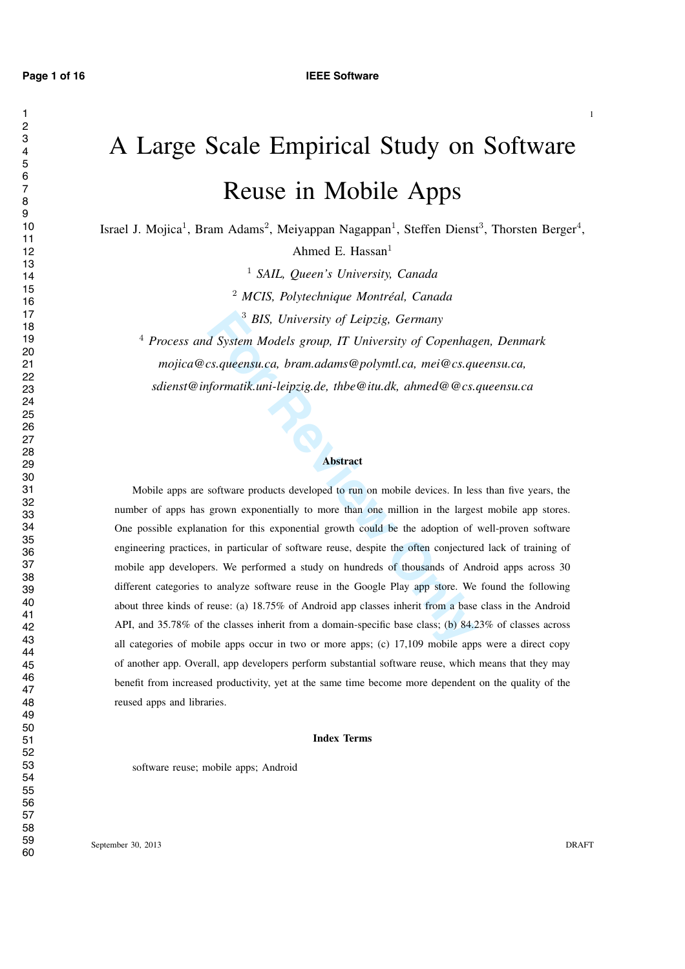# A Large Scale Empirical Study on Software Reuse in Mobile Apps

Israel J. Mojica<sup>1</sup>, Bram Adams<sup>2</sup>, Meiyappan Nagappan<sup>1</sup>, Steffen Dienst<sup>3</sup>, Thorsten Berger<sup>4</sup>, Ahmed E. Hassan 1

*SAIL, Queen's University, Canada*

*MCIS, Polytechnique Montreal, Canada ´*

*BIS, University of Leipzig, Germany*

 *Process and System Models group, IT University of Copenhagen, Denmark mojica@cs.queensu.ca, bram.adams@polymtl.ca, mei@cs.queensu.ca, sdienst@informatik.uni-leipzig.de, thbe@itu.dk, ahmed@@cs.queensu.ca*

#### Abstract

<sup>3</sup> BIS, University of Leipzig, Germany<br> *H* System Models group, IT University of Copenhag<br> *Formatik.uni-leipzig.de, thbe*@itu.dk, ahmed@@cs.que<br> *formatik.uni-leipzig.de, thbe*@itu.dk, ahmed@@cs.que<br> **Abstract**<br>
softwar Mobile apps are software products developed to run on mobile devices. In less than five years, the number of apps has grown exponentially to more than one million in the largest mobile app stores. One possible explanation for this exponential growth could be the adoption of well-proven software engineering practices, in particular of software reuse, despite the often conjectured lack of training of mobile app developers. We performed a study on hundreds of thousands of Android apps across 30 different categories to analyze software reuse in the Google Play app store. We found the following about three kinds of reuse: (a) 18.75% of Android app classes inherit from a base class in the Android API, and 35.78% of the classes inherit from a domain-specific base class; (b) 84.23% of classes across all categories of mobile apps occur in two or more apps; (c) 17,109 mobile apps were a direct copy of another app. Overall, app developers perform substantial software reuse, which means that they may benefit from increased productivity, yet at the same time become more dependent on the quality of the reused apps and libraries.

#### Index Terms

software reuse; mobile apps; Android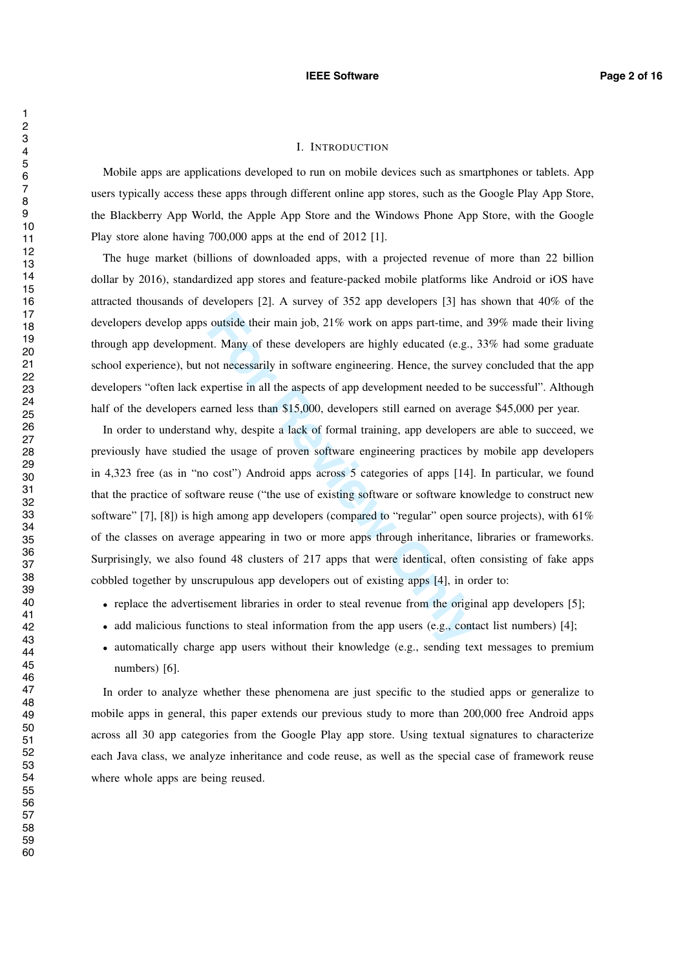#### **IEEE Software Page 2 of 16**

## I. INTRODUCTION

Mobile apps are applications developed to run on mobile devices such as smartphones or tablets. App users typically access these apps through different online app stores, such as the Google Play App Store, the Blackberry App World, the Apple App Store and the Windows Phone App Store, with the Google Play store alone having 700,000 apps at the end of 2012 [1].

The huge market (billions of downloaded apps, with a projected revenue of more than 22 billion dollar by 2016), standardized app stores and feature-packed mobile platforms like Android or iOS have attracted thousands of developers [2]. A survey of 352 app developers [3] has shown that 40% of the developers develop apps outside their main job, 21% work on apps part-time, and 39% made their living through app development. Many of these developers are highly educated (e.g., 33% had some graduate school experience), but not necessarily in software engineering. Hence, the survey concluded that the app developers "often lack expertise in all the aspects of app development needed to be successful". Although half of the developers earned less than \$15,000, developers still earned on average \$45,000 per year.

outside their main job, 21% work on apps part-time, an<br>tt. Many of these developers are highly educated (e.g.,<br>not necessarily in software engineering. Hence, the survey<br>spertise in all the aspects of app development neede In order to understand why, despite a lack of formal training, app developers are able to succeed, we previously have studied the usage of proven software engineering practices by mobile app developers in 4,323 free (as in "no cost") Android apps across 5 categories of apps [14]. In particular, we found that the practice of software reuse ("the use of existing software or software knowledge to construct new software" [7], [8]) is high among app developers (compared to "regular" open source projects), with  $61\%$ of the classes on average appearing in two or more apps through inheritance, libraries or frameworks. Surprisingly, we also found 48 clusters of 217 apps that were identical, often consisting of fake apps cobbled together by unscrupulous app developers out of existing apps [4], in order to:

- replace the advertisement libraries in order to steal revenue from the original app developers [5];
- add malicious functions to steal information from the app users (e.g., contact list numbers) [4];
- automatically charge app users without their knowledge (e.g., sending text messages to premium numbers) [6].

In order to analyze whether these phenomena are just specific to the studied apps or generalize to mobile apps in general, this paper extends our previous study to more than 200,000 free Android apps across all 30 app categories from the Google Play app store. Using textual signatures to characterize each Java class, we analyze inheritance and code reuse, as well as the special case of framework reuse where whole apps are being reused.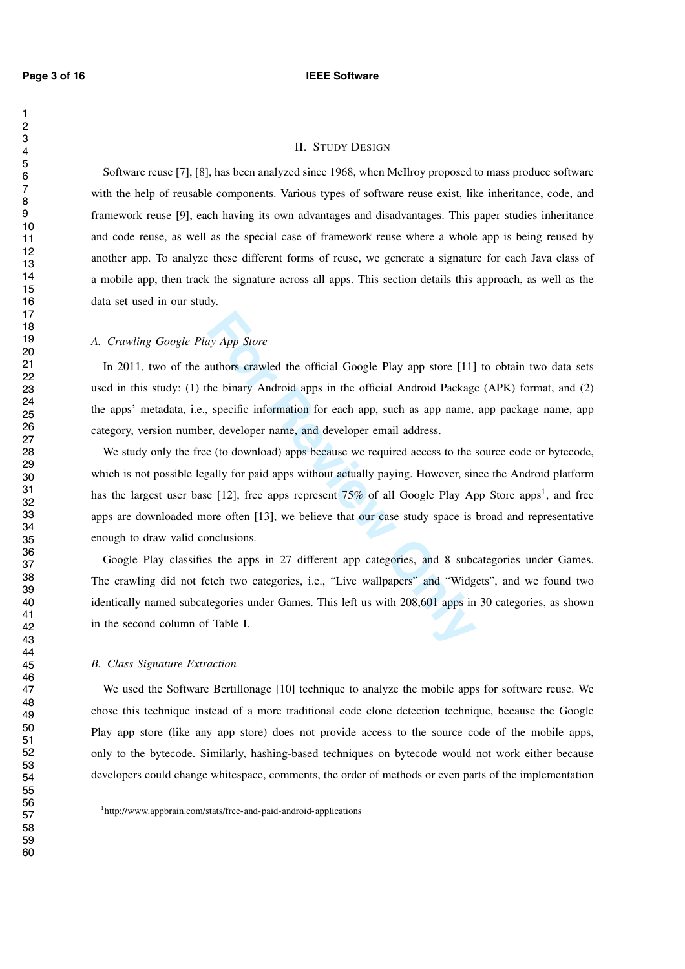#### **Page 3 of 16 IEEE Software**

#### II. STUDY DESIGN

Software reuse [7], [8], has been analyzed since 1968, when McIlroy proposed to mass produce software with the help of reusable components. Various types of software reuse exist, like inheritance, code, and framework reuse [9], each having its own advantages and disadvantages. This paper studies inheritance and code reuse, as well as the special case of framework reuse where a whole app is being reused by another app. To analyze these different forms of reuse, we generate a signature for each Java class of a mobile app, then track the signature across all apps. This section details this approach, as well as the data set used in our study.

#### *A. Crawling Google Play App Store*

In 2011, two of the authors crawled the official Google Play app store [11] to obtain two data sets used in this study: (1) the binary Android apps in the official Android Package (APK) format, and (2) the apps' metadata, i.e., specific information for each app, such as app name, app package name, app category, version number, developer name, and developer email address.

ay *App Store*<br>
nuthors crawled the official Google Play app store [11]<br>
he binary Android apps in the official Android Package<br>
specific information for each app, such as app name,<br>
r, developer name, and developer email We study only the free (to download) apps because we required access to the source code or bytecode, which is not possible legally for paid apps without actually paying. However, since the Android platform has the largest user base [12], free apps represent 75% of all Google Play App Store apps<sup>1</sup>, and free apps are downloaded more often [13], we believe that our case study space is broad and representative enough to draw valid conclusions.

Google Play classifies the apps in 27 different app categories, and 8 subcategories under Games. The crawling did not fetch two categories, i.e., "Live wallpapers" and "Widgets", and we found two identically named subcategories under Games. This left us with 208,601 apps in 30 categories, as shown in the second column of Table I.

#### *B. Class Signature Extraction*

We used the Software Bertillonage [10] technique to analyze the mobile apps for software reuse. We chose this technique instead of a more traditional code clone detection technique, because the Google Play app store (like any app store) does not provide access to the source code of the mobile apps, only to the bytecode. Similarly, hashing-based techniques on bytecode would not work either because developers could change whitespace, comments, the order of methods or even parts of the implementation

<sup>1</sup>http://www.appbrain.com/stats/free-and-paid-android-applications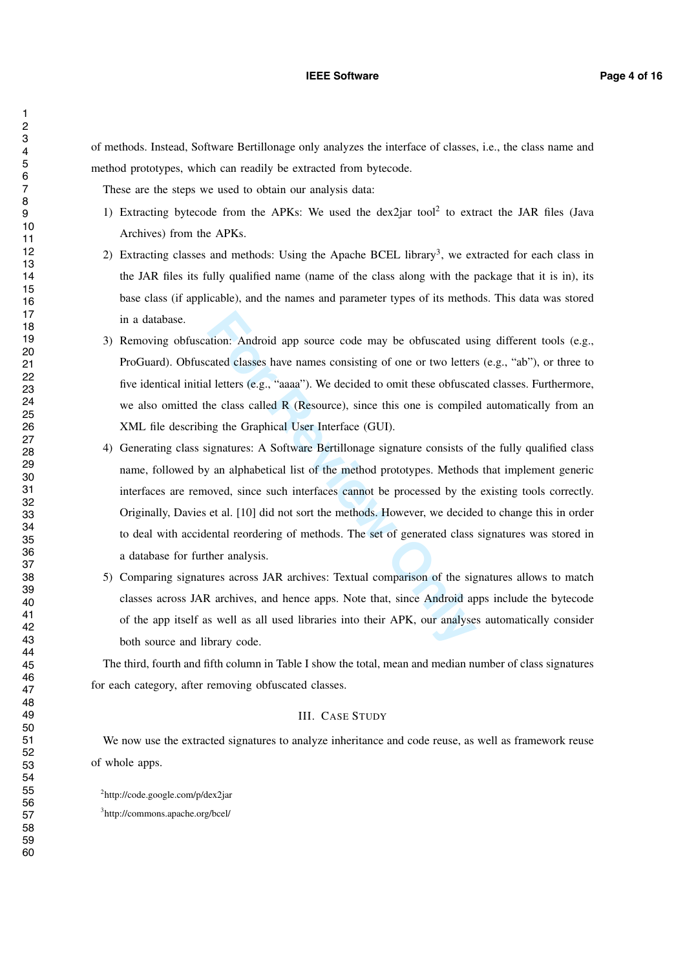of methods. Instead, Software Bertillonage only analyzes the interface of classes, i.e., the class name and method prototypes, which can readily be extracted from bytecode.

These are the steps we used to obtain our analysis data:

- 1) Extracting bytecode from the APKs: We used the dex2jar tool <sup>2</sup> to extract the JAR files (Java Archives) from the APKs.
- 2) Extracting classes and methods: Using the Apache BCEL library<sup>3</sup>, we extracted for each class in the JAR files its fully qualified name (name of the class along with the package that it is in), its base class (if applicable), and the names and parameter types of its methods. This data was stored in a database.
- 3) Removing obfuscation: Android app source code may be obfuscated using different tools (e.g., ProGuard). Obfuscated classes have names consisting of one or two letters (e.g., "ab"), or three to five identical initial letters (e.g., "aaaa"). We decided to omit these obfuscated classes. Furthermore, we also omitted the class called R (Resource), since this one is compiled automatically from an XML file describing the Graphical User Interface (GUI).
- ation: Android app source code may be obfuscated usi<br>ated classes have names consisting of one or two letters<br>1 letters (e.g., "aaaa"). We decided to omit these obfuscat<br>he class called R (Resource), since this one is comp 4) Generating class signatures: A Software Bertillonage signature consists of the fully qualified class name, followed by an alphabetical list of the method prototypes. Methods that implement generic interfaces are removed, since such interfaces cannot be processed by the existing tools correctly. Originally, Davies et al. [10] did not sort the methods. However, we decided to change this in order to deal with accidental reordering of methods. The set of generated class signatures was stored in a database for further analysis.
- 5) Comparing signatures across JAR archives: Textual comparison of the signatures allows to match classes across JAR archives, and hence apps. Note that, since Android apps include the bytecode of the app itself as well as all used libraries into their APK, our analyses automatically consider both source and library code.

The third, fourth and fifth column in Table I show the total, mean and median number of class signatures for each category, after removing obfuscated classes.

#### III. CASE STUDY

We now use the extracted signatures to analyze inheritance and code reuse, as well as framework reuse of whole apps.

http://code.google.com/p/dex2jar

http://commons.apache.org/bcel/

 $\mathbf{1}$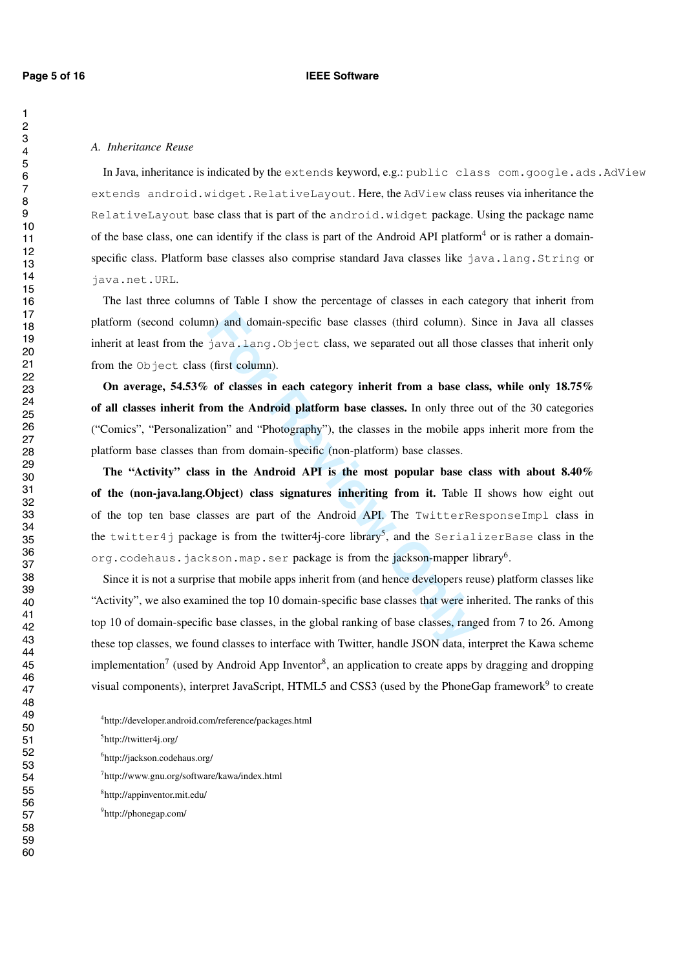$\mathbf{1}$ 

#### *A. Inheritance Reuse*

In Java, inheritance is indicated by the extends keyword, e.g.: public class com.google.ads.AdView extends android.widget.RelativeLayout. Here, the AdView class reuses via inheritance the RelativeLayout base class that is part of the android.widget package. Using the package name of the base class, one can identify if the class is part of the Android API platform<sup>4</sup> or is rather a domainspecific class. Platform base classes also comprise standard Java classes like java.lang.String or java.net.URL .

The last three columns of Table I show the percentage of classes in each category that inherit from platform (second column) and domain-specific base classes (third column). Since in Java all classes inherit at least from the java.lang. Object class, we separated out all those classes that inherit only from the Object class (first column).

On average, 54.53% of classes in each category inherit from a base class, while only 18.75% of all classes inherit from the Android platform base classes. In only three out of the 30 categories ("Comics", "Personalization" and "Photography"), the classes in the mobile apps inherit more from the platform base classes than from domain-specific (non-platform) base classes.

in) and domain-specific base classes (third column). S<br>
java.lang.Object class, we separated out all those<br>
(first column).<br> **of classes in each category inherit from a base cla<br>
com the Android platform base classes. In o** The "Activity" class in the Android API is the most popular base class with about 8.40% of the (non-java.lang.Object) class signatures inheriting from it. Table II shows how eight out of the top ten base classes are part of the Android API. The TwitterResponseImpl class in the twitter4j package is from the twitter4j-core library 5, and the SerializerBase class in the org.codehaus.jackson.map.ser package is from the jackson-mapper library<sup>6</sup>.

Since it is not a surprise that mobile apps inherit from (and hence developers reuse) platform classes like "Activity", we also examined the top 10 domain-specific base classes that were inherited. The ranks of this top 10 of domain-specific base classes, in the global ranking of base classes, ranged from 7 to 26. Among these top classes, we found classes to interface with Twitter, handle JSON data, interpret the Kawa scheme implementation<sup>7</sup> (used by Android App Inventor<sup>8</sup>, an application to create apps by dragging and dropping visual components), interpret JavaScript, HTML5 and CSS3 (used by the PhoneGap framework<sup>9</sup> to create

http://developer.android.com/reference/packages.html

- http://jackson.codehaus.org/
- http://www.gnu.org/software/kawa/index.html
- http://appinventor.mit.edu/
- http://phonegap.com/

http://twitter4j.org/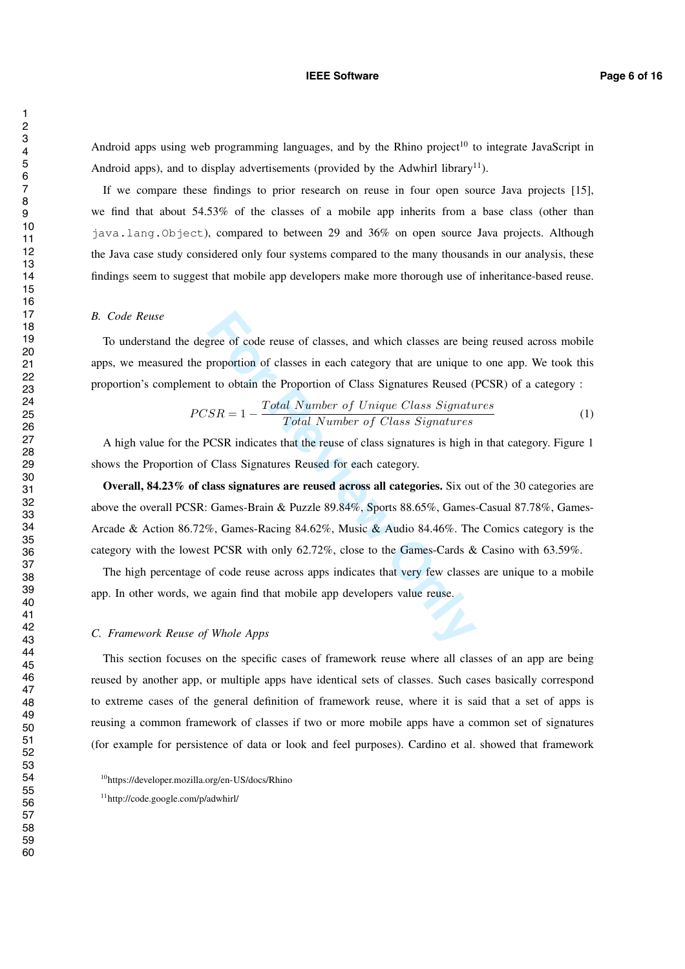#### **IEEE Software Page 6 of 16**

Android apps using web programming languages, and by the Rhino project<sup>10</sup> to integrate JavaScript in Android apps), and to display advertisements (provided by the Adwhirl library<sup>11</sup>).

If we compare these findings to prior research on reuse in four open source Java projects [15], we find that about 54.53% of the classes of a mobile app inherits from a base class (other than java.lang.Object), compared to between 29 and 36% on open source Java projects. Although the Java case study considered only four systems compared to the many thousands in our analysis, these findings seem to suggest that mobile app developers make more thorough use of inheritance-based reuse.

#### *B. Code Reuse*

To understand the degree of code reuse of classes, and which classes are being reused across mobile apps, we measured the proportion of classes in each category that are unique to one app. We took this proportion's complement to obtain the Proportion of Class Signatures Reused (PCSR) of a category :

$$
PCSR = 1 - \frac{Total\ Number\ of\ Unique\ Class\ Signatures}{Total\ Number\ of\ Class\ Signatures}
$$
\n(1)

A high value for the PCSR indicates that the reuse of class signatures is high in that category. Figure 1 shows the Proportion of Class Signatures Reused for each category.

gree of code reuse of classes, and which classes are bein<br>proportion of classes in each category that are unique to<br>t to obtain the Proportion of Class Signatures Reused (I<br> $SR = 1 - \frac{Total Number of Unique Class Signature}{Total Number of Class Signatures}$ <br>PCSR indicates that the Overall, 84.23% of class signatures are reused across all categories. Six out of the 30 categories are above the overall PCSR: Games-Brain & Puzzle 89.84%, Sports 88.65%, Games-Casual 87.78%, Games-Arcade & Action 86.72%, Games-Racing 84.62%, Music & Audio 84.46%. The Comics category is the category with the lowest PCSR with only 62.72%, close to the Games-Cards & Casino with 63.59%.

The high percentage of code reuse across apps indicates that very few classes are unique to a mobile app. In other words, we again find that mobile app developers value reuse.

## *C. Framework Reuse of Whole Apps*

This section focuses on the specific cases of framework reuse where all classes of an app are being reused by another app, or multiple apps have identical sets of classes. Such cases basically correspond to extreme cases of the general definition of framework reuse, where it is said that a set of apps is reusing a common framework of classes if two or more mobile apps have a common set of signatures (for example for persistence of data or look and feel purposes). Cardino et al. showed that framework

<sup>10</sup>https://developer.mozilla.org/en-US/docs/Rhino

<sup>11</sup>http://code.google.com/p/adwhirl/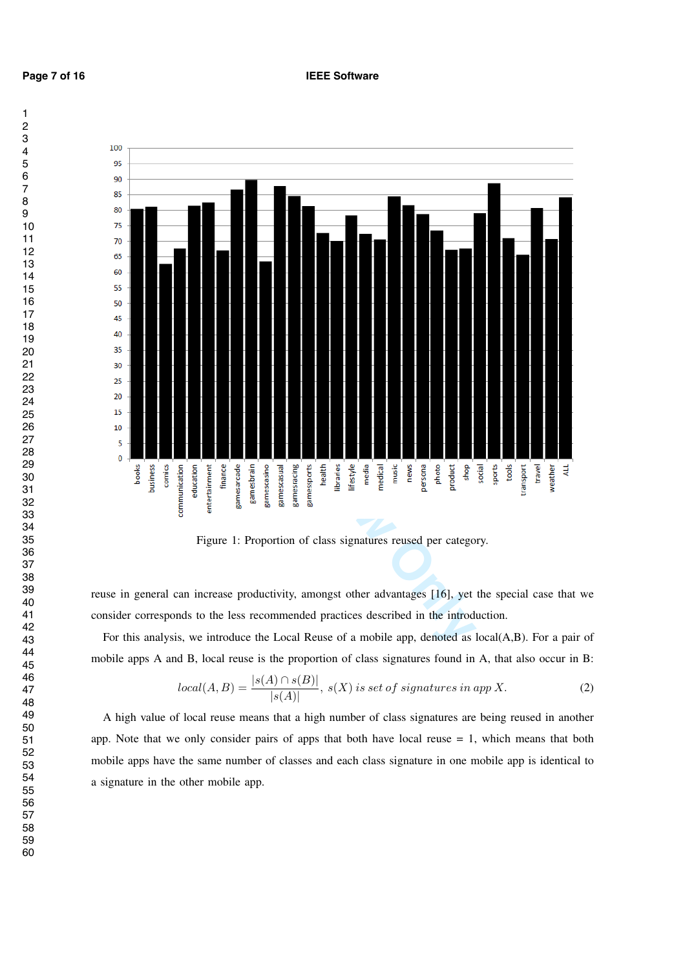

Figure 1: Proportion of class signatures reused per category.

reuse in general can increase productivity, amongst other advantages [16], yet the special case that we consider corresponds to the less recommended practices described in the introduction.

For this analysis, we introduce the Local Reuse of a mobile app, denoted as local(A,B). For a pair of mobile apps A and B, local reuse is the proportion of class signatures found in A, that also occur in B:

$$
local(A, B) = \frac{|s(A) \cap s(B)|}{|s(A)|}, \ s(X) \ is \ set \ of \ signatures \ in \ app \ X. \tag{2}
$$

A high value of local reuse means that a high number of class signatures are being reused in another app. Note that we only consider pairs of apps that both have local reuse  $= 1$ , which means that both mobile apps have the same number of classes and each class signature in one mobile app is identical to a signature in the other mobile app.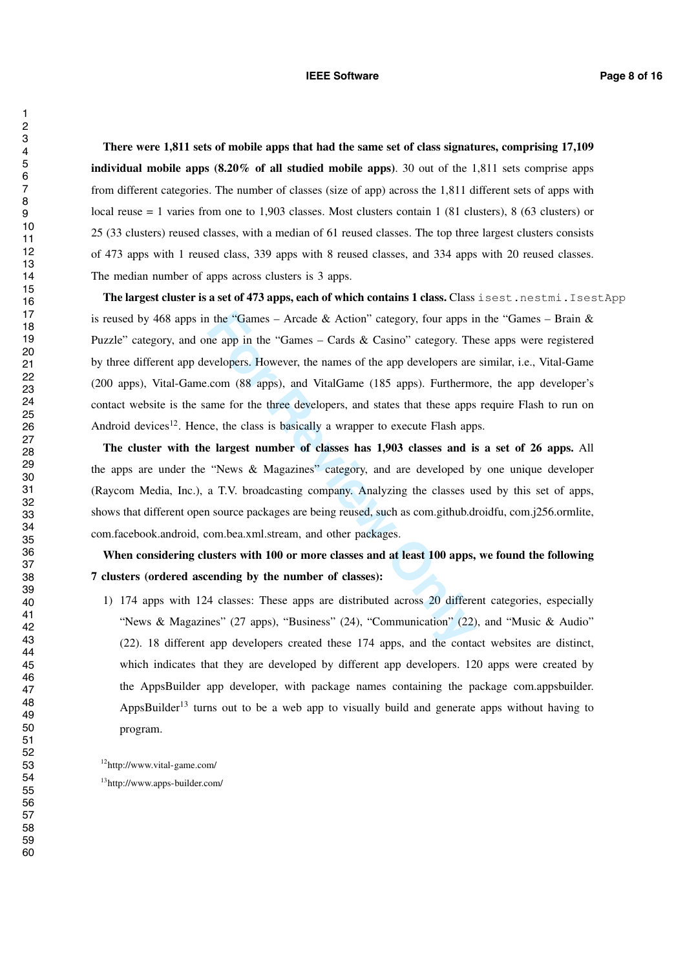#### **IEEE Software Page 8 of 16**

There were 1,811 sets of mobile apps that had the same set of class signatures, comprising 17,109 individual mobile apps (8.20% of all studied mobile apps). 30 out of the 1,811 sets comprise apps from different categories. The number of classes (size of app) across the 1,811 different sets of apps with local reuse = 1 varies from one to 1,903 classes. Most clusters contain 1 (81 clusters), 8 (63 clusters) or 25 (33 clusters) reused classes, with a median of 61 reused classes. The top three largest clusters consists of 473 apps with 1 reused class, 339 apps with 8 reused classes, and 334 apps with 20 reused classes. The median number of apps across clusters is 3 apps.

1 the "Games – Arcade & Action" category, four apps in<br>the app in the "Games – Cards & Casino" category. The<br>welopers. However, the names of the app developers are<br>.com (88 apps), and VitalGame (185 apps). Furtherma<br>ame fo The largest cluster is a set of 473 apps, each of which contains 1 class. Class isest.nestmi.IsestApp is reused by 468 apps in the "Games – Arcade & Action" category, four apps in the "Games – Brain  $\&$ Puzzle" category, and one app in the "Games – Cards & Casino" category. These apps were registered by three different app developers. However, the names of the app developers are similar, i.e., Vital-Game (200 apps), Vital-Game.com (88 apps), and VitalGame (185 apps). Furthermore, the app developer's contact website is the same for the three developers, and states that these apps require Flash to run on Android devices<sup>12</sup>. Hence, the class is basically a wrapper to execute Flash apps.

The cluster with the largest number of classes has 1,903 classes and is a set of 26 apps. All the apps are under the "News & Magazines" category, and are developed by one unique developer (Raycom Media, Inc.), a T.V. broadcasting company. Analyzing the classes used by this set of apps, shows that different open source packages are being reused, such as com.github.droidfu, com.j256.ormlite, com.facebook.android, com.bea.xml.stream, and other packages.

When considering clusters with 100 or more classes and at least 100 apps, we found the following 7 clusters (ordered ascending by the number of classes):

1) 174 apps with 124 classes: These apps are distributed across 20 different categories, especially "News & Magazines" (27 apps), "Business" (24), "Communication" (22), and "Music & Audio" (22). 18 different app developers created these 174 apps, and the contact websites are distinct, which indicates that they are developed by different app developers. 120 apps were created by the AppsBuilder app developer, with package names containing the package com.appsbuilder. AppsBuilder<sup>13</sup> turns out to be a web app to visually build and generate apps without having to program.

12http://www.vital-game.com/

13http://www.apps-builder.com/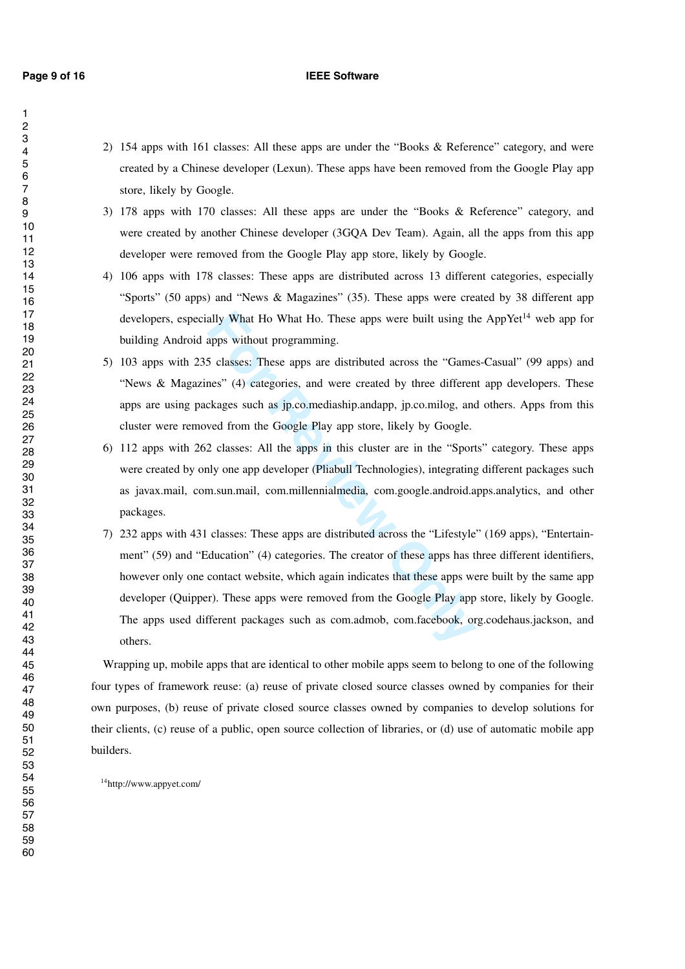### **Page 9 of 16 IEEE Software**

- 2) 154 apps with 161 classes: All these apps are under the "Books & Reference" category, and were created by a Chinese developer (Lexun). These apps have been removed from the Google Play app store, likely by Google.
- 3) 178 apps with 170 classes: All these apps are under the "Books & Reference" category, and were created by another Chinese developer (3GQA Dev Team). Again, all the apps from this app developer were removed from the Google Play app store, likely by Google.
- 4) 106 apps with 178 classes: These apps are distributed across 13 different categories, especially "Sports" (50 apps) and "News & Magazines" (35). These apps were created by 38 different app developers, especially What Ho What Ho. These apps were built using the AppYet<sup>14</sup> web app for building Android apps without programming.
- 5) 103 apps with 235 classes: These apps are distributed across the "Games-Casual" (99 apps) and "News & Magazines" (4) categories, and were created by three different app developers. These apps are using packages such as jp.co.mediaship.andapp, jp.co.milog, and others. Apps from this cluster were removed from the Google Play app store, likely by Google.
- 6) 112 apps with 262 classes: All the apps in this cluster are in the "Sports" category. These apps were created by only one app developer (Pliabull Technologies), integrating different packages such as javax.mail, com.sun.mail, com.millennialmedia, com.google.android.apps.analytics, and other packages.
- ally What Ho What Ho. These apps were built using the<br>apps without programming.<br>5 classes: These apps are distributed across the "Games" (4) categories, and were created by three differen<br>ckages such as jp.co.mediaship.and 7) 232 apps with 431 classes: These apps are distributed across the "Lifestyle" (169 apps), "Entertainment" (59) and "Education" (4) categories. The creator of these apps has three different identifiers, however only one contact website, which again indicates that these apps were built by the same app developer (Quipper). These apps were removed from the Google Play app store, likely by Google. The apps used different packages such as com.admob, com.facebook, org.codehaus.jackson, and others.

Wrapping up, mobile apps that are identical to other mobile apps seem to belong to one of the following four types of framework reuse: (a) reuse of private closed source classes owned by companies for their own purposes, (b) reuse of private closed source classes owned by companies to develop solutions for their clients, (c) reuse of a public, open source collection of libraries, or (d) use of automatic mobile app builders.

14http://www.appyet.com/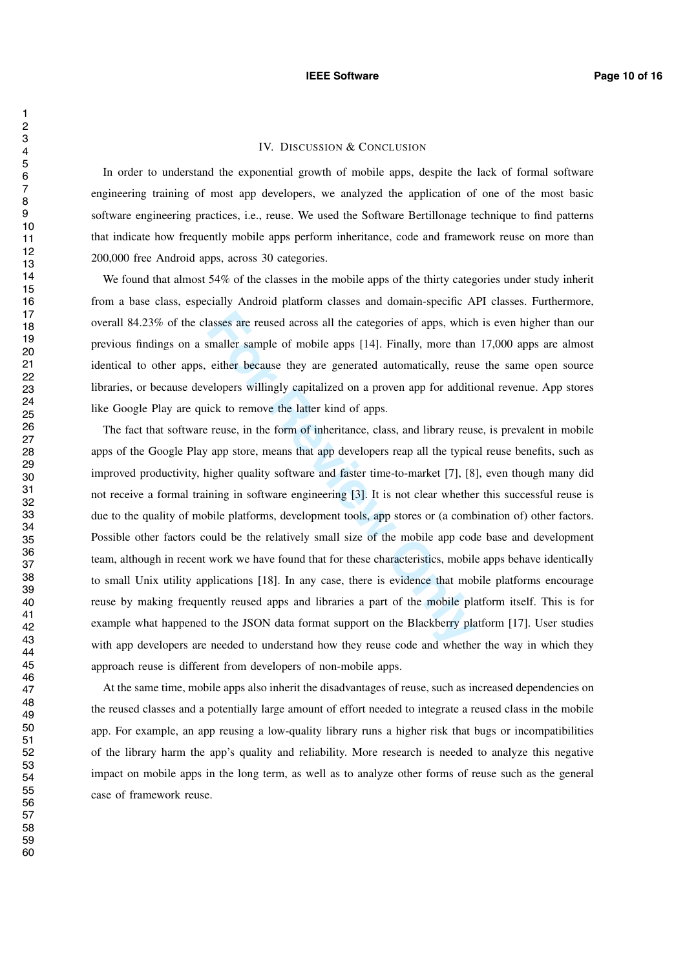## IV. DISCUSSION & CONCLUSION

In order to understand the exponential growth of mobile apps, despite the lack of formal software engineering training of most app developers, we analyzed the application of one of the most basic software engineering practices, i.e., reuse. We used the Software Bertillonage technique to find patterns that indicate how frequently mobile apps perform inheritance, code and framework reuse on more than 200,000 free Android apps, across 30 categories.

We found that almost 54% of the classes in the mobile apps of the thirty categories under study inherit from a base class, especially Android platform classes and domain-specific API classes. Furthermore, overall 84.23% of the classes are reused across all the categories of apps, which is even higher than our previous findings on a smaller sample of mobile apps [14]. Finally, more than 17,000 apps are almost identical to other apps, either because they are generated automatically, reuse the same open source libraries, or because developers willingly capitalized on a proven app for additional revenue. App stores like Google Play are quick to remove the latter kind of apps.

asses are reused across all the categories of apps, which<br>smaller sample of mobile apps [14]. Finally, more than<br>either because they are generated automatically, reuse<br>elopers willingly capitalized on a proven app for addi The fact that software reuse, in the form of inheritance, class, and library reuse, is prevalent in mobile apps of the Google Play app store, means that app developers reap all the typical reuse benefits, such as improved productivity, higher quality software and faster time-to-market [7], [8], even though many did not receive a formal training in software engineering [3]. It is not clear whether this successful reuse is due to the quality of mobile platforms, development tools, app stores or (a combination of) other factors. Possible other factors could be the relatively small size of the mobile app code base and development team, although in recent work we have found that for these characteristics, mobile apps behave identically to small Unix utility applications [18]. In any case, there is evidence that mobile platforms encourage reuse by making frequently reused apps and libraries a part of the mobile platform itself. This is for example what happened to the JSON data format support on the Blackberry platform [17]. User studies with app developers are needed to understand how they reuse code and whether the way in which they approach reuse is different from developers of non-mobile apps.

At the same time, mobile apps also inherit the disadvantages of reuse, such as increased dependencies on the reused classes and a potentially large amount of effort needed to integrate a reused class in the mobile app. For example, an app reusing a low-quality library runs a higher risk that bugs or incompatibilities of the library harm the app's quality and reliability. More research is needed to analyze this negative impact on mobile apps in the long term, as well as to analyze other forms of reuse such as the general case of framework reuse.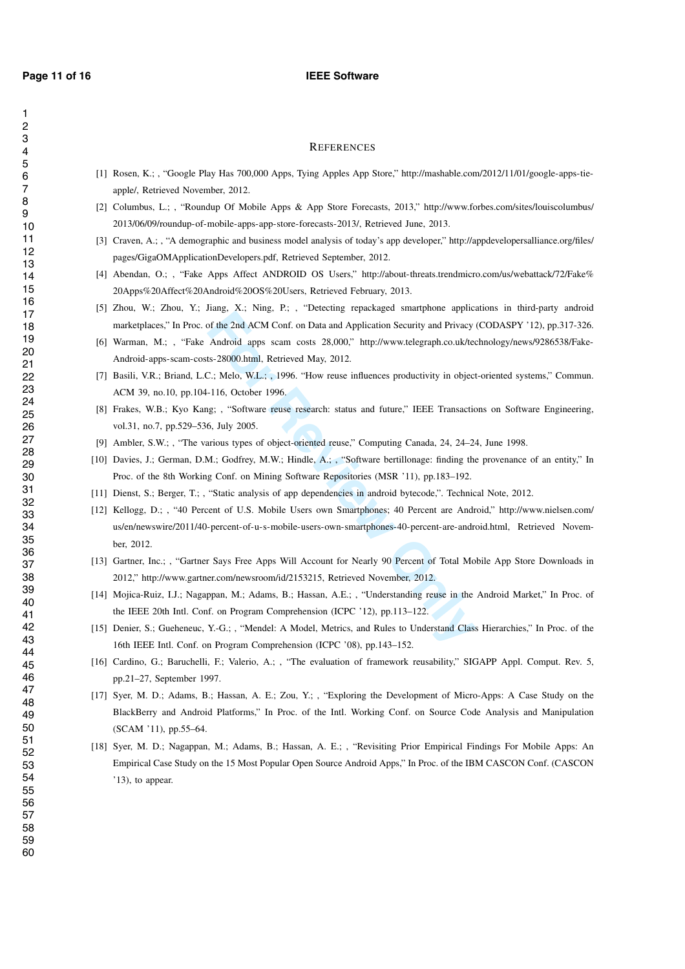$\overline{1}$ 

#### **Page 11 of 16 IEEE** Software

- [1] Rosen, K.; , "Google Play Has 700,000 Apps, Tying Apples App Store," http://mashable.com/2012/11/01/google-apps-tieapple/, Retrieved November, 2012.
- [2] Columbus, L.; , "Roundup Of Mobile Apps & App Store Forecasts, 2013," http://www.forbes.com/sites/louiscolumbus/ 2013/06/09/roundup-of-mobile-apps-app-store-forecasts-2013/, Retrieved June, 2013.
- [3] Craven, A.; , "A demographic and business model analysis of today's app developer," http://appdevelopersalliance.org/files/ pages/GigaOMApplicationDevelopers.pdf, Retrieved September, 2012.
- [4] Abendan, O.; , "Fake Apps Affect ANDROID OS Users," http://about-threats.trendmicro.com/us/webattack/72/Fake% 20Apps%20Affect%20Android%20OS%20Users, Retrieved February, 2013.
- [5] Zhou, W.; Zhou, Y.; Jiang, X.; Ning, P.; , "Detecting repackaged smartphone applications in third-party android marketplaces," In Proc. of the 2nd ACM Conf. on Data and Application Security and Privacy (CODASPY '12), pp.317-326.
- [6] Warman, M.; , "Fake Android apps scam costs 28,000," http://www.telegraph.co.uk/technology/news/9286538/Fake-Android-apps-scam-costs-28000.html, Retrieved May, 2012.
- [7] Basili, V.R.; Briand, L.C.; Melo, W.L.; , 1996. "How reuse influences productivity in object-oriented systems," Commun. ACM 39, no.10, pp.104-116, October 1996.
- [8] Frakes, W.B.; Kyo Kang; , "Software reuse research: status and future," IEEE Transactions on Software Engineering, vol.31, no.7, pp.529–536, July 2005.
- [9] Ambler, S.W.; , "The various types of object-oriented reuse," Computing Canada, 24, 24–24, June 1998.
- [10] Davies, J.; German, D.M.; Godfrey, M.W.; Hindle, A.; , "Software bertillonage: finding the provenance of an entity," In Proc. of the 8th Working Conf. on Mining Software Repositories (MSR '11), pp.183–192.
- [11] Dienst, S.; Berger, T.; , "Static analysis of app dependencies in android bytecode,". Technical Note, 2012.
- **FORTIFIER ENCES**<br> **FORTIFY AMORE APPS APP Store,"** http://mashable.com<br>
her, 2012.<br>
Hup Of Mobile Apps & App Store Forecasts, 2013," http://www.fo<br>
mobile-apps-app-store-forecasts-2013/, Retrieved June, 2013.<br>
applie and [12] Kellogg, D.; , "40 Percent of U.S. Mobile Users own Smartphones; 40 Percent are Android," http://www.nielsen.com/ us/en/newswire/2011/40-percent-of-u-s-mobile-users-own-smartphones-40-percent-are-android.html, Retrieved November, 2012.
- [13] Gartner, Inc.; , "Gartner Says Free Apps Will Account for Nearly 90 Percent of Total Mobile App Store Downloads in 2012," http://www.gartner.com/newsroom/id/2153215, Retrieved November, 2012.
- [14] Mojica-Ruiz, I.J.; Nagappan, M.; Adams, B.; Hassan, A.E.; , "Understanding reuse in the Android Market," In Proc. of the IEEE 20th Intl. Conf. on Program Comprehension (ICPC '12), pp.113–122.
- [15] Denier, S.; Gueheneuc, Y.-G.; , "Mendel: A Model, Metrics, and Rules to Understand Class Hierarchies," In Proc. of the 16th IEEE Intl. Conf. on Program Comprehension (ICPC '08), pp.143–152.
- [16] Cardino, G.; Baruchelli, F.; Valerio, A.; , "The evaluation of framework reusability," SIGAPP Appl. Comput. Rev. 5, pp.21–27, September 1997.
- [17] Syer, M. D.; Adams, B.; Hassan, A. E.; Zou, Y.; , "Exploring the Development of Micro-Apps: A Case Study on the BlackBerry and Android Platforms," In Proc. of the Intl. Working Conf. on Source Code Analysis and Manipulation (SCAM '11), pp.55–64.
- [18] Syer, M. D.; Nagappan, M.; Adams, B.; Hassan, A. E.; , "Revisiting Prior Empirical Findings For Mobile Apps: An Empirical Case Study on the 15 Most Popular Open Source Android Apps," In Proc. of the IBM CASCON Conf. (CASCON '13), to appear.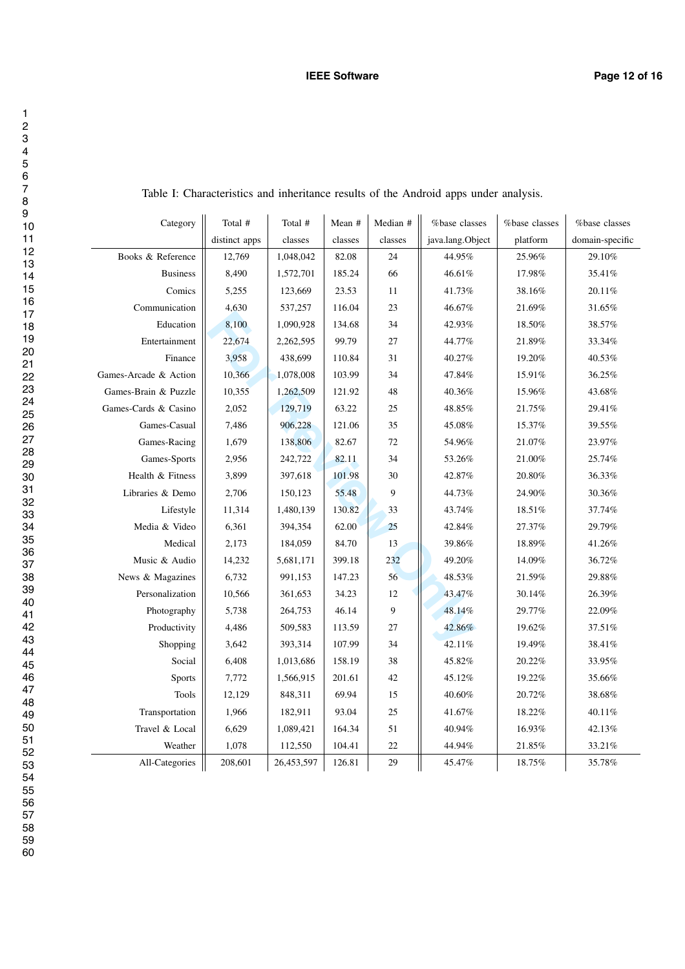| Category              | Total #       | Total #    | Mean #  | Median #         | %base classes    | %base classes | %base classes   |
|-----------------------|---------------|------------|---------|------------------|------------------|---------------|-----------------|
|                       | distinct apps | classes    | classes | classes          | java.lang.Object | platform      | domain-specific |
| Books & Reference     | 12,769        | 1,048,042  | 82.08   | 24               | 44.95%           | 25.96%        | 29.10%          |
| <b>Business</b>       | 8,490         | 1,572,701  | 185.24  | 66               | 46.61%           | 17.98%        | 35.41%          |
| Comics                | 5,255         | 123,669    | 23.53   | 11               | 41.73%           | 38.16%        | $20.11\%$       |
| Communication         | 4,630         | 537,257    | 116.04  | 23               | 46.67%           | 21.69%        | 31.65%          |
| Education             | 8,100         | 1,090,928  | 134.68  | 34               | 42.93%           | 18.50%        | 38.57%          |
| Entertainment         | 22,674        | 2,262,595  | 99.79   | $27\,$           | 44.77%           | 21.89%        | 33.34%          |
| Finance               | 3,958         | 438,699    | 110.84  | 31               | 40.27%           | 19.20%        | 40.53%          |
| Games-Arcade & Action | 10,366        | 1,078,008  | 103.99  | 34               | 47.84%           | 15.91%        | 36.25%          |
| Games-Brain & Puzzle  | 10,355        | 1,262,509  | 121.92  | 48               | 40.36%           | 15.96%        | 43.68%          |
| Games-Cards & Casino  | 2,052         | 129,719    | 63.22   | 25               | 48.85%           | 21.75%        | 29.41%          |
| Games-Casual          | 7,486         | 906,228    | 121.06  | 35               | 45.08%           | 15.37%        | 39.55%          |
| Games-Racing          | 1,679         | 138,806    | 82.67   | $72\,$           | 54.96%           | 21.07%        | 23.97%          |
| Games-Sports          | 2,956         | 242,722    | 82.11   | 34               | 53.26%           | 21.00%        | 25.74%          |
| Health & Fitness      | 3,899         | 397,618    | 101.98  | 30               | 42.87%           | 20.80%        | 36.33%          |
| Libraries & Demo      | 2,706         | 150,123    | 55.48   | $\boldsymbol{9}$ | 44.73%           | $24.90\%$     | $30.36\%$       |
| Lifestyle             | 11,314        | 1,480,139  | 130.82  | 33               | 43.74%           | $18.51\%$     | 37.74%          |
| Media & Video         | 6,361         | 394,354    | 62.00   | 25               | 42.84%           | 27.37%        | 29.79%          |
| Medical               | 2,173         | 184,059    | 84.70   | 13               | 39.86%           | 18.89%        | 41.26%          |
| Music & Audio         | 14,232        | 5,681,171  | 399.18  | 232              | 49.20%           | $14.09\%$     | $36.72\%$       |
| News & Magazines      | 6,732         | 991,153    | 147.23  | 56               | 48.53%           | 21.59%        | 29.88%          |
| Personalization       | 10,566        | 361,653    | 34.23   | 12               | 43.47%           | 30.14%        | 26.39%          |
| Photography           | 5,738         | 264,753    | 46.14   | $\overline{9}$   | 48.14%           | 29.77%        | 22.09%          |
| Productivity          | 4,486         | 509,583    | 113.59  | $27\,$           | 42.86%           | 19.62%        | $37.51\%$       |
| Shopping              | 3,642         | 393,314    | 107.99  | 34               | 42.11%           | 19.49%        | 38.41%          |
| Social                | 6,408         | 1,013,686  | 158.19  | 38               | 45.82%           | 20.22%        | 33.95%          |
| <b>Sports</b>         | 7,772         | 1,566,915  | 201.61  | $42\,$           | 45.12%           | 19.22%        | 35.66%          |
| <b>Tools</b>          | 12,129        | 848,311    | 69.94   | 15               | 40.60%           | 20.72%        | $38.68\%$       |
| Transportation        | 1,966         | 182,911    | 93.04   | 25               | 41.67%           | 18.22%        | 40.11%          |
| Travel & Local        | 6,629         | 1,089,421  | 164.34  | 51               | 40.94%           | 16.93%        | 42.13%          |
| Weather               | 1,078         | 112,550    | 104.41  | 22               | 44.94%           | 21.85%        | 33.21%          |
| All-Categories        | 208,601       | 26,453,597 | 126.81  | 29               | 45.47%           | $18.75\%$     | 35.78%          |

Table I: Characteristics and inheritance results of the Android apps under analysis.

60